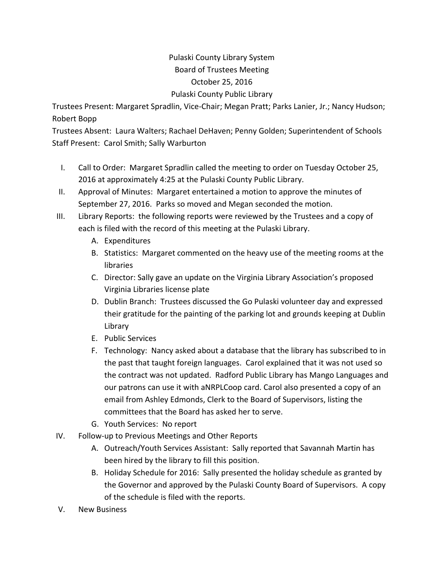## Pulaski County Library System Board of Trustees Meeting October 25, 2016 Pulaski County Public Library

Trustees Present: Margaret Spradlin, Vice‐Chair; Megan Pratt; Parks Lanier, Jr.; Nancy Hudson; Robert Bopp

Trustees Absent: Laura Walters; Rachael DeHaven; Penny Golden; Superintendent of Schools Staff Present: Carol Smith; Sally Warburton

- I. Call to Order: Margaret Spradlin called the meeting to order on Tuesday October 25, 2016 at approximately 4:25 at the Pulaski County Public Library.
- II. Approval of Minutes: Margaret entertained a motion to approve the minutes of September 27, 2016. Parks so moved and Megan seconded the motion.
- III. Library Reports: the following reports were reviewed by the Trustees and a copy of each is filed with the record of this meeting at the Pulaski Library.
	- A. Expenditures
	- B. Statistics: Margaret commented on the heavy use of the meeting rooms at the libraries
	- C. Director: Sally gave an update on the Virginia Library Association's proposed Virginia Libraries license plate
	- D. Dublin Branch: Trustees discussed the Go Pulaski volunteer day and expressed their gratitude for the painting of the parking lot and grounds keeping at Dublin Library
	- E. Public Services
	- F. Technology: Nancy asked about a database that the library has subscribed to in the past that taught foreign languages. Carol explained that it was not used so the contract was not updated. Radford Public Library has Mango Languages and our patrons can use it with aNRPLCoop card. Carol also presented a copy of an email from Ashley Edmonds, Clerk to the Board of Supervisors, listing the committees that the Board has asked her to serve.
	- G. Youth Services: No report
- IV. Follow‐up to Previous Meetings and Other Reports
	- A. Outreach/Youth Services Assistant: Sally reported that Savannah Martin has been hired by the library to fill this position.
	- B. Holiday Schedule for 2016: Sally presented the holiday schedule as granted by the Governor and approved by the Pulaski County Board of Supervisors. A copy of the schedule is filed with the reports.
- V. New Business